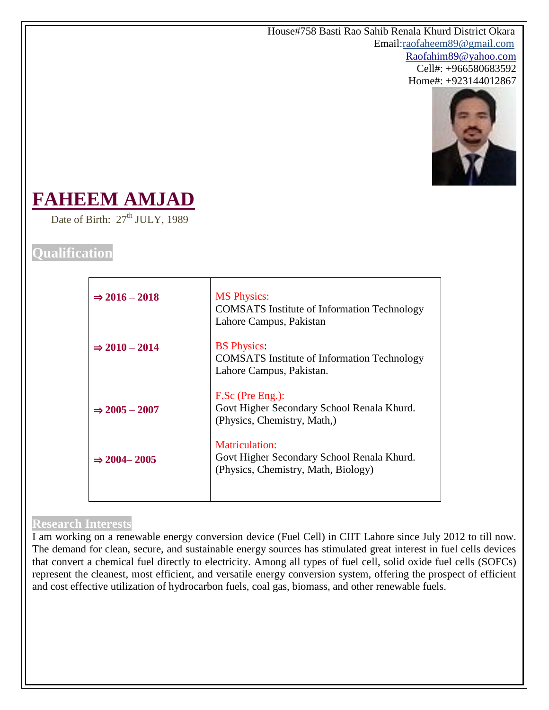House#758 Basti Rao Sahib Renala Khurd District Okara Email:raofaheem89@gmail.com Raofahim89@yahoo.com Cell#: +966580683592 Home#: +923144012867



# **FAHEEM AMJAD**

Date of Birth:  $27<sup>th</sup> JULY$ , 1989

# **Qualification**

| $\Rightarrow$ 2016 - 2018 | <b>MS</b> Physics:<br><b>COMSATS</b> Institute of Information Technology<br>Lahore Campus, Pakistan        |
|---------------------------|------------------------------------------------------------------------------------------------------------|
| $\Rightarrow$ 2010 - 2014 | <b>BS</b> Physics:<br><b>COMSATS</b> Institute of Information Technology<br>Lahore Campus, Pakistan.       |
| $\Rightarrow$ 2005 - 2007 | F.Sc (Pre Eng.):<br>Govt Higher Secondary School Renala Khurd.<br>(Physics, Chemistry, Math.)              |
| $\Rightarrow$ 2004 - 2005 | <b>Matriculation:</b><br>Govt Higher Secondary School Renala Khurd.<br>(Physics, Chemistry, Math, Biology) |
|                           |                                                                                                            |

#### **Research Interests**

I am working on a renewable energy conversion device (Fuel Cell) in CIIT Lahore since July 2012 to till now. The demand for clean, secure, and sustainable energy sources has stimulated great interest in fuel cells devices that convert a chemical fuel directly to electricity. Among all types of fuel cell, solid oxide fuel cells (SOFCs) represent the cleanest, most efficient, and versatile energy conversion system, offering the prospect of efficient and cost effective utilization of hydrocarbon fuels, coal gas, biomass, and other renewable fuels.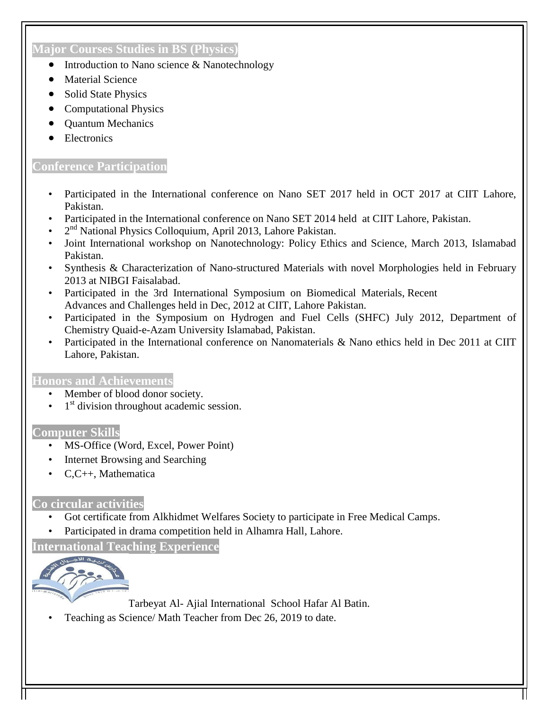# **Major Courses Studies in BS (Physics)**

- Introduction to Nano science & Nanotechnology
- Material Science
- Solid State Physics
- Computational Physics
- Quantum Mechanics
- **Electronics**

## **Conference Participation**

- Participated in the International conference on Nano SET 2017 held in OCT 2017 at CIIT Lahore, Pakistan.
- Participated in the International conference on Nano SET 2014 held at CIIT Lahore, Pakistan.
- 2<sup>nd</sup> National Physics Colloquium, April 2013, Lahore Pakistan.
- Joint International workshop on Nanotechnology: Policy Ethics and Science, March 2013, Islamabad Pakistan.
- Synthesis & Characterization of Nano-structured Materials with novel Morphologies held in February 2013 at NIBGI Faisalabad.
- Participated in the 3rd International Symposium on Biomedical Materials, Recent Advances and Challenges held in Dec, 2012 at CIIT, Lahore Pakistan.
- Participated in the Symposium on Hydrogen and Fuel Cells (SHFC) July 2012, Department of Chemistry Quaid-e-Azam University Islamabad, Pakistan.
- Participated in the International conference on Nanomaterials & Nano ethics held in Dec 2011 at CIIT Lahore, Pakistan.

#### **Honors and Achievements**

- Member of blood donor society.
- $\cdot$  1<sup>st</sup> division throughout academic session.

#### **Computer Skills**

- MS-Office (Word, Excel, Power Point)
- Internet Browsing and Searching
- C,C++, Mathematica

# **Co circular activities**

- Got certificate from Alkhidmet Welfares Society to participate in Free Medical Camps.
- Participated in drama competition held in Alhamra Hall, Lahore.

**International Teaching Experience**



Tarbeyat Al- Ajial International School Hafar Al Batin.

• Teaching as Science/ Math Teacher from Dec 26, 2019 to date.